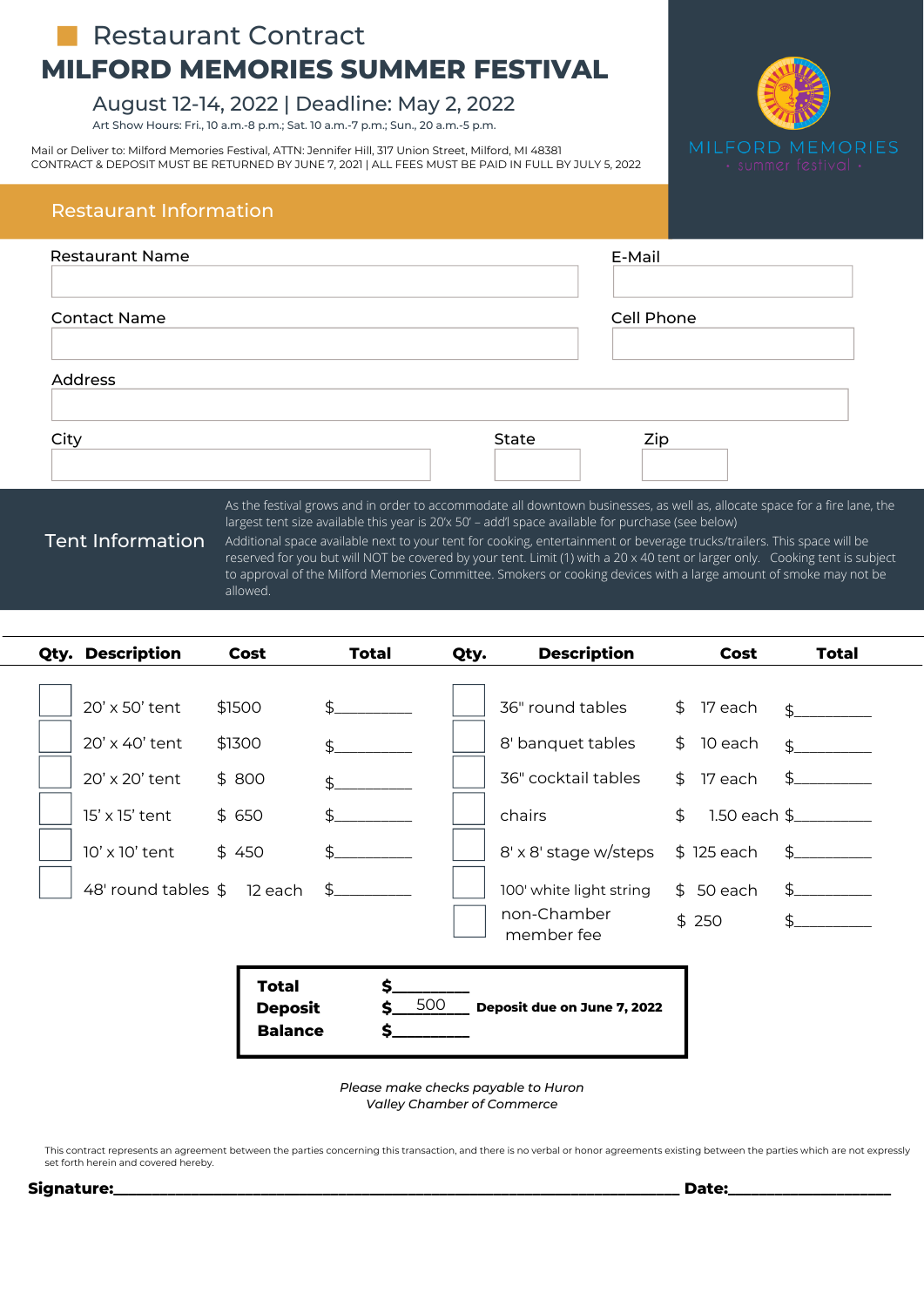## **MILFORD MEMORIES SUMMER FESTIVAL Restaurant Contract**

#### August 12-14, 2022 | Deadline: May 2, 2022

Art Show Hours: Fri., 10 a.m.-8 p.m.; Sat. 10 a.m.-7 p.m.; Sun., 20 a.m.-5 p.m.

Mail or Deliver to: Milford Memories Festival, ATTN: Jennifer Hill, 317 Union Street, Milford, MI 48381 CONTRACT & DEPOSIT MUST BE RETURNED BY JUNE 7, 2021 | ALL FEES MUST BE PAID IN FULL BY JULY 5, 2022



#### Restaurant Information

| <b>Restaurant Name</b> |       | E-Mail                                                                                                                     |
|------------------------|-------|----------------------------------------------------------------------------------------------------------------------------|
| <b>Contact Name</b>    |       | Cell Phone                                                                                                                 |
| <b>Address</b>         |       |                                                                                                                            |
| City                   | State | Zip                                                                                                                        |
|                        |       | As the festival grows and in order to accommodate all downtown businesses, as well as, allocate space for a fire lane, the |

### Tent Information

largest tent size available this year is 20'x 50' – add'l space available for purchase (see below) Additional space available next to your tent for cooking, entertainment or beverage trucks/trailers. This space will be reserved for you but will NOT be covered by your tent. Limit (1) with a 20 x 40 tent or larger only. Cooking tent is subject to approval of the Milford Memories Committee. Smokers or cooking devices with a large amount of smoke may not be allowed.

| Qty. Description                                                                                                          | Cost                                             | <b>Total</b>          | Qty. | <b>Description</b>                                                                                                                                      | Cost                                                                                                              | <b>Total</b>                                                                                                                |
|---------------------------------------------------------------------------------------------------------------------------|--------------------------------------------------|-----------------------|------|---------------------------------------------------------------------------------------------------------------------------------------------------------|-------------------------------------------------------------------------------------------------------------------|-----------------------------------------------------------------------------------------------------------------------------|
| 20' x 50' tent<br>20' x 40' tent<br>20' x 20' tent<br>15' x 15' tent<br>$10'$ x $10'$ tent<br>48' round tables \$ 12 each | \$1500<br>\$1300<br>\$800<br>\$650<br>\$450      | \$<br>\$.<br>\$<br>\$ |      | 36" round tables<br>8' banquet tables<br>36" cocktail tables<br>chairs<br>8' x 8' stage w/steps<br>100' white light string<br>non-Chamber<br>member fee | 17 each<br>\$<br>10 each<br>\$<br>$\frac{1}{2}$<br>17 each<br>$\mathfrak{P}$<br>\$125 each<br>$$50$ each<br>\$250 | $\ddot{\mathcal{L}}$<br>$\mathfrak{L}$<br>$\mathfrak{L}$<br>1.50 each \$__________<br>$\frac{1}{2}$<br>\$.<br>$\frac{1}{2}$ |
|                                                                                                                           | <b>Total</b><br><b>Deposit</b><br><b>Balance</b> | \$<br>500<br>Ś        |      | Deposit due on June 7, 2022                                                                                                                             |                                                                                                                   |                                                                                                                             |

*Please make checks payable to Huron Valley Chamber of Commerce*

This contract represents an agreement between the parties concerning this transaction, and there is no verbal or honor agreements existing between the parties which are not expressly set forth herein and covered hereby.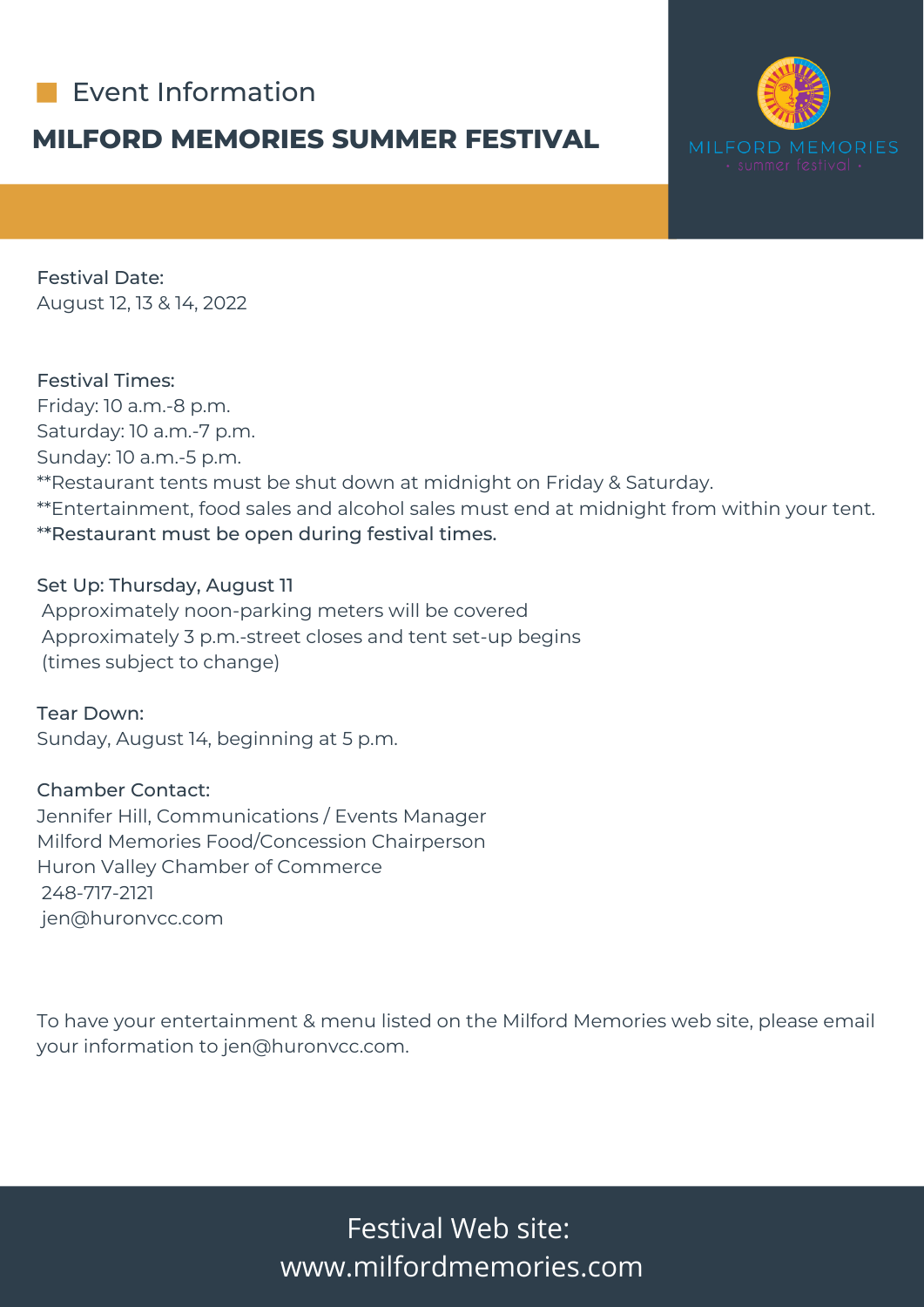

### **MILFORD MEMORIES SUMMER FESTIVAL**



Festival Date: August 12, 13 & 14, 2022

Festival Times: Friday: 10 a.m.-8 p.m. Saturday: 10 a.m.-7 p.m. Sunday: 10 a.m.-5 p.m.

\*\*Restaurant tents must be shut down at midnight on Friday & Saturday.

\*\*Entertainment, food sales and alcohol sales must end at midnight from within your tent. \*\*Restaurant must be open during festival times.

### Set Up: Thursday, August 11

Approximately noon-parking meters will be covered Approximately 3 p.m.-street closes and tent set-up begins (times subject to change)

Tear Down: Sunday, August 14, beginning at 5 p.m.

Chamber Contact:

Jennifer Hill, Communications / Events Manager Milford Memories Food/Concession Chairperson Huron Valley Chamber of Commerce 248-717-2121 jen@huronvcc.com

To have your entertainment & menu listed on the Milford Memories web site, please email your information to jen@huronvcc.com.

> Festival Web site: www.milfordmemories.com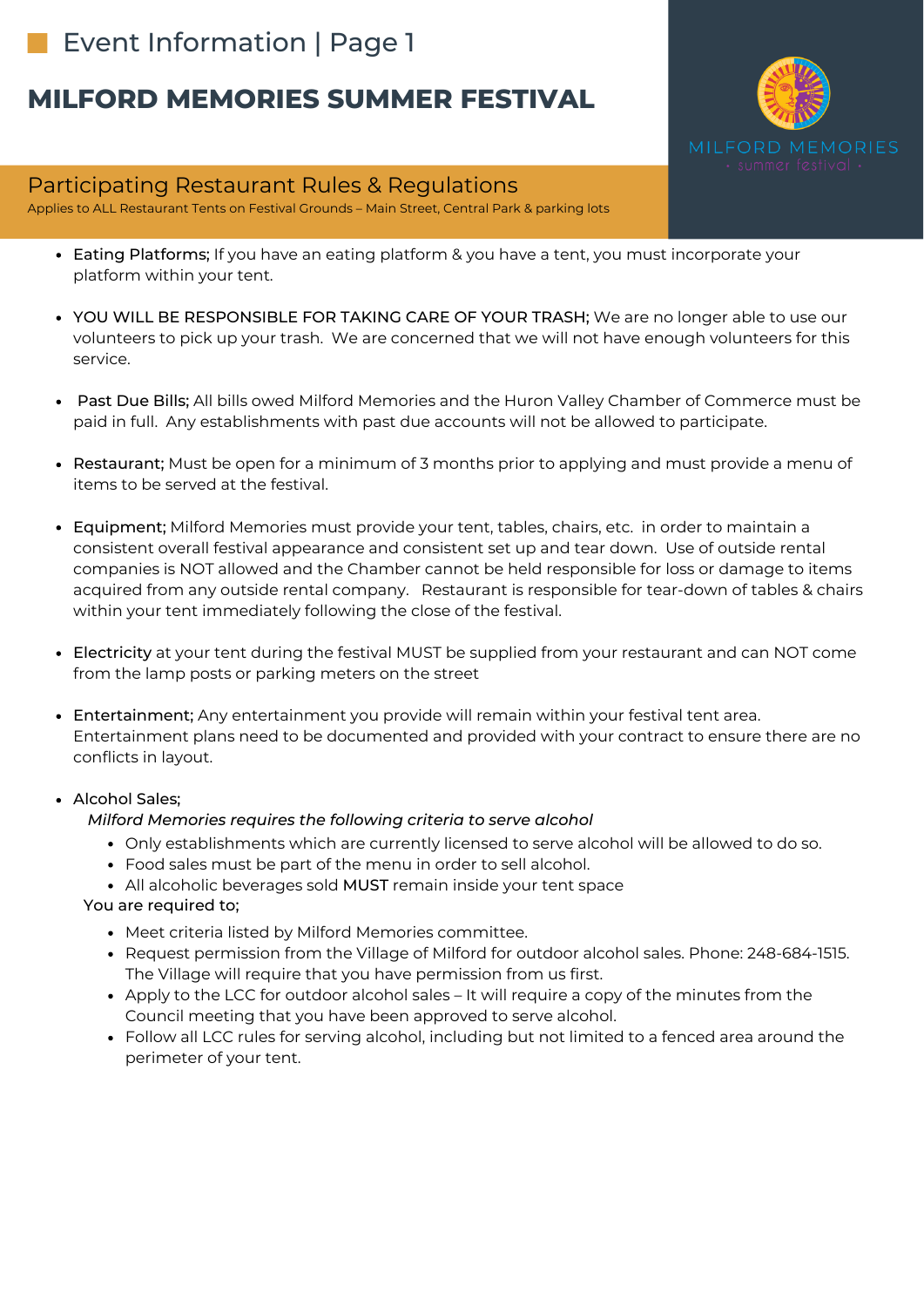# Event Information | Page 1

# **MILFORD MEMORIES SUMMER FESTIVAL**

### Participating Restaurant Rules & Regulations

Applies to ALL Restaurant Tents on Festival Grounds – Main Street, Central Park & parking lots

- Eating Platforms; If you have an eating platform & you have a tent, you must incorporate your platform within your tent.
- YOU WILL BE RESPONSIBLE FOR TAKING CARE OF YOUR TRASH; We are no longer able to use our volunteers to pick up your trash. We are concerned that we will not have enough volunteers for this service.
- Past Due Bills; All bills owed Milford Memories and the Huron Valley Chamber of Commerce must be paid in full. Any establishments with past due accounts will not be allowed to participate.
- Restaurant; Must be open for a minimum of 3 months prior to applying and must provide a menu of items to be served at the festival.
- Equipment; Milford Memories must provide your tent, tables, chairs, etc. in order to maintain a consistent overall festival appearance and consistent set up and tear down. Use of outside rental companies is NOT allowed and the Chamber cannot be held responsible for loss or damage to items acquired from any outside rental company. Restaurant is responsible for tear-down of tables & chairs within your tent immediately following the close of the festival.
- Electricity at your tent during the festival MUST be supplied from your restaurant and can NOT come from the lamp posts or parking meters on the street
- Entertainment; Any entertainment you provide will remain within your festival tent area. Entertainment plans need to be documented and provided with your contract to ensure there are no conflicts in layout.

#### Alcohol Sales;

#### *Milford Memories requires the following criteria to serve alcohol*

- Only establishments which are currently licensed to serve alcohol will be allowed to do so.
- Food sales must be part of the menu in order to sell alcohol.
- All alcoholic beverages sold MUST remain inside your tent space

#### You are required to;

- Meet criteria listed by Milford Memories committee.
- Request permission from the Village of Milford for outdoor alcohol sales. Phone: 248-684-1515. The Village will require that you have permission from us first.
- Apply to the LCC for outdoor alcohol sales It will require a copy of the minutes from the Council meeting that you have been approved to serve alcohol.
- Follow all LCC rules for serving alcohol, including but not limited to a fenced area around the perimeter of your tent.